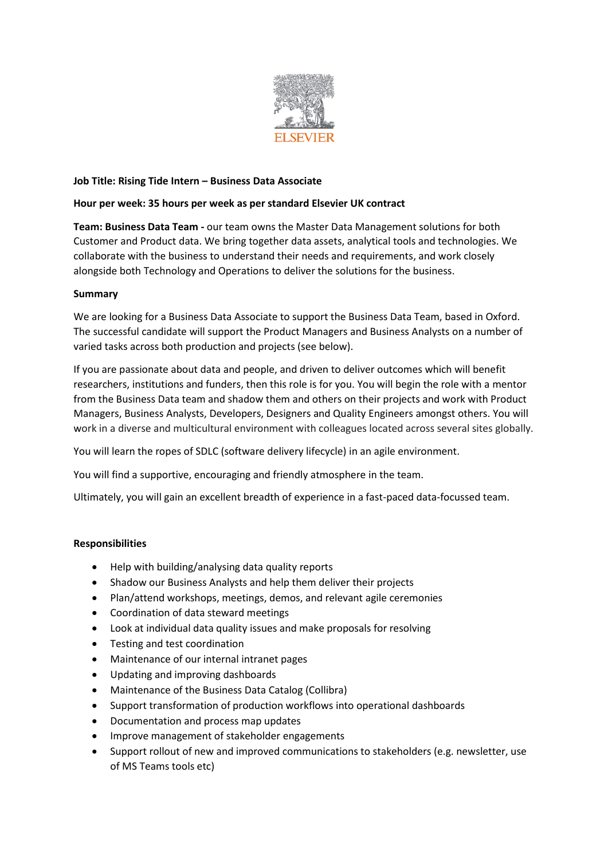

# **Job Title: Rising Tide Intern – Business Data Associate**

#### **Hour per week: 35 hours per week as per standard Elsevier UK contract**

**Team: Business Data Team -** our team owns the Master Data Management solutions for both Customer and Product data. We bring together data assets, analytical tools and technologies. We collaborate with the business to understand their needs and requirements, and work closely alongside both Technology and Operations to deliver the solutions for the business.

# **Summary**

We are looking for a Business Data Associate to support the Business Data Team, based in Oxford. The successful candidate will support the Product Managers and Business Analysts on a number of varied tasks across both production and projects (see below).

If you are passionate about data and people, and driven to deliver outcomes which will benefit researchers, institutions and funders, then this role is for you. You will begin the role with a mentor from the Business Data team and shadow them and others on their projects and work with Product Managers, Business Analysts, Developers, Designers and Quality Engineers amongst others. You will work in a diverse and multicultural environment with colleagues located across several sites globally.

You will learn the ropes of SDLC (software delivery lifecycle) in an agile environment.

You will find a supportive, encouraging and friendly atmosphere in the team.

Ultimately, you will gain an excellent breadth of experience in a fast-paced data-focussed team.

#### **Responsibilities**

- Help with building/analysing data quality reports
- Shadow our Business Analysts and help them deliver their projects
- Plan/attend workshops, meetings, demos, and relevant agile ceremonies
- Coordination of data steward meetings
- Look at individual data quality issues and make proposals for resolving
- Testing and test coordination
- Maintenance of our internal intranet pages
- Updating and improving dashboards
- Maintenance of the Business Data Catalog (Collibra)
- Support transformation of production workflows into operational dashboards
- Documentation and process map updates
- Improve management of stakeholder engagements
- Support rollout of new and improved communications to stakeholders (e.g. newsletter, use of MS Teams tools etc)